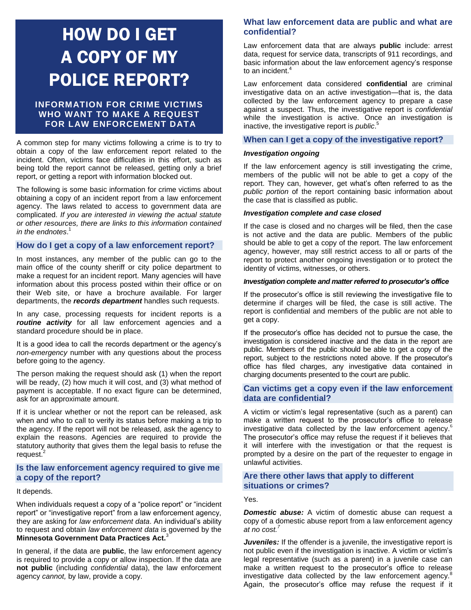# HOW DO I GET A COPY OF MY POLICE REPORT?

# **INFORMATION FOR CRIME VICTIMS WHO WANT TO MAKE A REQUEST FOR LAW ENFORCEMENT DATA**

A common step for many victims following a crime is to try to obtain a copy of the law enforcement report related to the incident. Often, victims face difficulties in this effort, such as being told the report cannot be released, getting only a brief report, or getting a report with information blocked out.

The following is some basic information for crime victims about obtaining a copy of an incident report from a law enforcement agency. The laws related to access to government data are complicated. *If you are interested in viewing the actual statute or other resources, there are links to this information contained in the endnotes*. 1

#### **How do I get a copy of a law enforcement report?**

In most instances, any member of the public can go to the main office of the county sheriff or city police department to make a request for an incident report. Many agencies will have information about this process posted within their office or on their Web site, or have a brochure available. For larger departments, the *records department* handles such requests.

In any case, processing requests for incident reports is a *routine activity* for all law enforcement agencies and a standard procedure should be in place.

It is a good idea to call the records department or the agency's *non-emergency* number with any questions about the process before going to the agency.

The person making the request should ask (1) when the report will be ready, (2) how much it will cost, and (3) what method of payment is acceptable. If no exact figure can be determined, ask for an approximate amount.

If it is unclear whether or not the report can be released, ask when and who to call to verify its status before making a trip to the agency. If the report will not be released, ask the agency to explain the reasons. Agencies are required to provide the statutory authority that gives them the legal basis to refuse the request.<sup>2</sup>

## **Is the law enforcement agency required to give me a copy of the report?**

#### It depends.

When individuals request a copy of a "police report" or "incident report" or "investigative report" from a law enforcement agency, they are asking for *law enforcement data*. An individual's ability to request and obtain *law enforcement data* is governed by the **Minnesota Government Data Practices Act.** 3

In general, if the data are **public**, the law enforcement agency is required to provide a copy or allow inspection. If the data are **not public** (including *confidential* data), the law enforcement agency *cannot,* by law, provide a copy.

## **What law enforcement data are public and what are confidential?**

Law enforcement data that are always **public** include: arrest data, request for service data, transcripts of 911 recordings, and basic information about the law enforcement agency's response to an incident.<sup>4</sup>

Law enforcement data considered **confidential** are criminal investigative data on an active investigation—that is, the data collected by the law enforcement agency to prepare a case against a suspect. Thus, the investigative report is *confidential* while the investigation is active. Once an investigation is inactive, the investigative report is *public*. 5

# **When can I get a copy of the investigative report?**

## *Investigation ongoing*

If the law enforcement agency is still investigating the crime, members of the public will not be able to get a copy of the report. They can, however, get what's often referred to as the *public portion* of the report containing basic information about the case that is classified as public.

#### *Investigation complete and case closed*

If the case is closed and no charges will be filed, then the case is not active and the data are public. Members of the public should be able to get a copy of the report. The law enforcement agency, however, may still restrict access to all or parts of the report to protect another ongoing investigation or to protect the identity of victims, witnesses, or others.

#### *Investigation complete and matter referred to prosecutor's office*

If the prosecutor's office is still reviewing the investigative file to determine if charges will be filed, the case is still active. The report is confidential and members of the public are not able to get a copy.

If the prosecutor's office has decided not to pursue the case, the investigation is considered inactive and the data in the report are public. Members of the public should be able to get a copy of the report, subject to the restrictions noted above. If the prosecutor's office has filed charges, any investigative data contained in charging documents presented to the court are public.

## **Can victims get a copy even if the law enforcement data are confidential?**

A victim or victim's legal representative (such as a parent) can make a written request to the prosecutor's office to release investigative data collected by the law enforcement agency.<sup>6</sup> The prosecutor's office may refuse the request if it believes that it will interfere with the investigation or that the request is prompted by a desire on the part of the requester to engage in unlawful activities.

## **Are there other laws that apply to different situations or crimes?**

Yes.

*Domestic abuse:* A victim of domestic abuse can request a copy of a domestic abuse report from a law enforcement agency *at no cost.<sup>7</sup>*

*Juveniles:* If the offender is a juvenile, the investigative report is not public even if the investigation is inactive. A victim or victim's legal representative (such as a parent) in a juvenile case can make a written request to the prosecutor's office to release investigative data collected by the law enforcement agency.<sup>8</sup> Again, the prosecutor's office may refuse the request if it